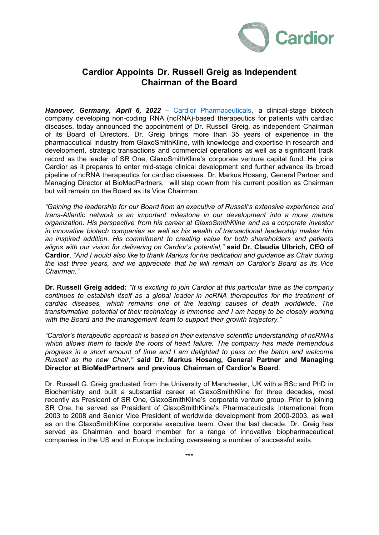

## **Cardior Appoints Dr. Russell Greig as Independent Chairman of the Board**

*Hanover, Germany, April 6, 2022* – Cardior [Pharmaceuticals,](http://www.cardior.de/) a clinical-stage biotech company developing non-coding RNA (ncRNA)-based therapeutics for patients with cardiac diseases, today announced the appointment of Dr. Russell Greig, as independent Chairman of its Board of Directors. Dr. Greig brings more than 35 years of experience in the pharmaceutical industry from GlaxoSmithKline, with knowledge and expertise in research and development, strategic transactions and commercial operations as well as a significant track record as the leader of SR One, GlaxoSmithKline's corporate venture capital fund. He joins Cardior as it prepares to enter mid-stage clinical development and further advance its broad pipeline of ncRNA therapeutics for cardiac diseases. Dr. Markus Hosang, General Partner and Managing Director at BioMedPartners, will step down from his current position as Chairman but will remain on the Board as its Vice Chairman.

*"Gaining the leadership for our Board from an executive of Russell's extensive experience and trans-Atlantic network is an important milestone in our development into a more mature organization. His perspective from his career at GlaxoSmithKline and as a corporate investor in innovative biotech companies as well as his wealth of transactional leadership makes him an inspired addition. His commitment to creating value for both shareholders and patients aligns with our vision for delivering on Cardior's potential,"* **said Dr. Claudia Ulbrich, CEO of Cardior**. *"And I would also like to thank Markus for his dedication and guidance as Chair during the last three years, and we appreciate that he will remain on Cardior's Board as its Vice Chairman."*

**Dr. Russell Greig added:** *"It is exciting to join Cardior at this particular time as the company continues to establish itself as a global leader in ncRNA therapeutics for the treatment of cardiac diseases, which remains one of the leading causes of death worldwide. The transformative potential of their technology is immense and I am happy to be closely working with the Board and the management team to support their growth trajectory."*

*"Cardior's therapeutic approach is based on their extensive scientific understanding of ncRNAs which allows them to tackle the roots of heart failure. The company has made tremendous progress in a short amount of time and I am delighted to pass on the baton and welcome Russell as the new Chair,"* **said Dr. Markus Hosang, General Partner and Managing Director at BioMedPartners and previous Chairman of Cardior's Board**.

Dr. Russell G. Greig graduated from the University of Manchester, UK with a BSc and PhD in Biochemistry and built a substantial career at GlaxoSmithKline for three decades, most recently as President of SR One, GlaxoSmithKline's corporate venture group. Prior to joining SR One, he served as President of GlaxoSmithKline's Pharmaceuticals International from 2003 to 2008 and Senior Vice President of worldwide development from 2000-2003, as well as on the GlaxoSmithKline corporate executive team. Over the last decade, Dr. Greig has served as Chairman and board member for a range of innovative biopharmaceutical companies in the US and in Europe including overseeing a number of successful exits.